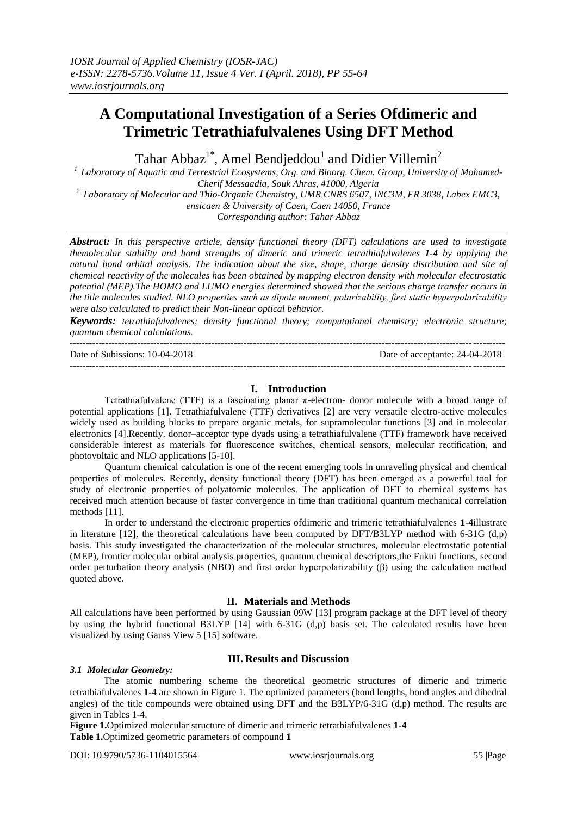# **A Computational Investigation of a Series Ofdimeric and Trimetric Tetrathiafulvalenes Using DFT Method**

Tahar Abbaz<sup>1\*</sup>, Amel Bendjeddou<sup>1</sup> and Didier Villemin<sup>2</sup>

*1 Laboratory of Aquatic and Terrestrial Ecosystems, Org. and Bioorg. Chem. Group, University of Mohamed-Cherif Messaadia, Souk Ahras, 41000, Algeria*

*2 Laboratory of Molecular and Thio-Organic Chemistry, UMR CNRS 6507, INC3M, FR 3038, Labex EMC3, ensicaen & University of Caen, Caen 14050, France*

*Corresponding author: Tahar Abbaz*

*Abstract: In this perspective article, density functional theory (DFT) calculations are used to investigate themolecular stability and bond strengths of dimeric and trimeric tetrathiafulvalenes 1-4 by applying the natural bond orbital analysis. The indication about the size, shape, charge density distribution and site of chemical reactivity of the molecules has been obtained by mapping electron density with molecular electrostatic potential (MEP).The HOMO and LUMO energies determined showed that the serious charge transfer occurs in the title molecules studied. NLO properties such as dipole moment, polarizability, first static hyperpolarizability were also calculated to predict their Non-linear optical behavior.*

*Keywords: tetrathiafulvalenes; density functional theory; computational chemistry; electronic structure; quantum chemical calculations.*

--------------------------------------------------------------------------------------------------------------------------------------- Date of Subissions: 10-04-2018 Date of acceptante: 24-04-2018 ---------------------------------------------------------------------------------------------------------------------------------------

# **I. Introduction**

Tetrathiafulvalene (TTF) is a fascinating planar π-electron- donor molecule with a broad range of potential applications [1]. Tetrathiafulvalene (TTF) derivatives [2] are very versatile electro-active molecules widely used as building blocks to prepare organic metals, for supramolecular functions [3] and in molecular electronics [4].Recently, donor–acceptor type dyads using a tetrathiafulvalene (TTF) framework have received considerable interest as materials for fluorescence switches, chemical sensors, molecular rectification, and photovoltaic and NLO applications [5-10].

Quantum chemical calculation is one of the recent emerging tools in unraveling physical and chemical properties of molecules. Recently, density functional theory (DFT) has been emerged as a powerful tool for study of electronic properties of polyatomic molecules. The application of DFT to chemical systems has received much attention because of faster convergence in time than traditional quantum mechanical correlation methods [11].

In order to understand the electronic properties ofdimeric and trimeric tetrathiafulvalenes **1-4**illustrate in literature [12], the theoretical calculations have been computed by DFT/B3LYP method with 6-31G (d,p) basis. This study investigated the characterization of the molecular structures, molecular electrostatic potential (MEP), frontier molecular orbital analysis properties, quantum chemical descriptors,the Fukui functions, second order perturbation theory analysis (NBO) and first order hyperpolarizability (β) using the calculation method quoted above.

# **II. Materials and Methods**

All calculations have been performed by using Gaussian 09W [13] program package at the DFT level of theory by using the hybrid functional B3LYP [14] with 6-31G (d,p) basis set. The calculated results have been visualized by using Gauss View 5 [15] software.

# **III. Results and Discussion**

# *3.1 Molecular Geometry:*

The atomic numbering scheme the theoretical geometric structures of dimeric and trimeric tetrathiafulvalenes **1-**4 are shown in Figure 1. The optimized parameters (bond lengths, bond angles and dihedral angles) of the title compounds were obtained using DFT and the B3LYP/6-31G (d,p) method. The results are given in Tables 1-4.

**Figure 1.**Optimized molecular structure of dimeric and trimeric tetrathiafulvalenes **1-4 Table 1.**Optimized geometric parameters of compound **1**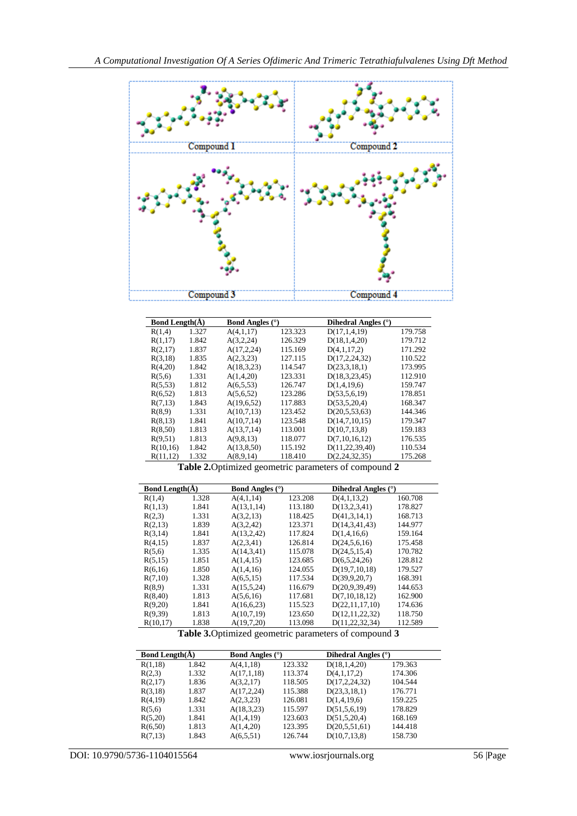

| <b>Bond Length</b> $(\AA)$ |       | <b>Bond Angles</b> (°) |         | Dihedral Angles $(°)$                                        |         |
|----------------------------|-------|------------------------|---------|--------------------------------------------------------------|---------|
| R(1,4)                     | 1.327 | A(4,1,17)              | 123.323 | D(17,1,4,19)                                                 | 179.758 |
| R(1,17)                    | 1.842 | A(3,2,24)              | 126.329 | D(18,1,4,20)                                                 | 179.712 |
| R(2,17)                    | 1.837 | A(17, 2, 24)           | 115.169 | D(4,1,17,2)                                                  | 171.292 |
| R(3,18)                    | 1.835 | A(2,3,23)              | 127.115 | D(17, 2, 24, 32)                                             | 110.522 |
| R(4,20)                    | 1.842 | A(18,3,23)             | 114.547 | D(23,3,18,1)                                                 | 173.995 |
| R(5,6)                     | 1.331 | A(1,4,20)              | 123.331 | D(18,3,23,45)                                                | 112.910 |
| R(5,53)                    | 1.812 | A(6,5,53)              | 126.747 | D(1,4,19,6)                                                  | 159.747 |
| R(6,52)                    | 1.813 | A(5,6,52)              | 123.286 | D(53, 5, 6, 19)                                              | 178.851 |
| R(7,13)                    | 1.843 | A(19,6,52)             | 117.883 | D(53, 5, 20, 4)                                              | 168.347 |
| R(8,9)                     | 1.331 | A(10,7,13)             | 123.452 | D(20,5,53,63)                                                | 144.346 |
| R(8,13)                    | 1.841 | A(10,7,14)             | 123.548 | D(14,7,10,15)                                                | 179.347 |
| R(8,50)                    | 1.813 | A(13,7,14)             | 113.001 | D(10,7,13,8)                                                 | 159.183 |
| R(9,51)                    | 1.813 | A(9,8,13)              | 118.077 | D(7,10,16,12)                                                | 176.535 |
| R(10,16)                   | 1.842 | A(13,8,50)             | 115.192 | D(11, 22, 39, 40)                                            | 110.534 |
| R(11,12)                   | 1.332 | A(8,9,14)              | 118.410 | D(2, 24, 32, 35)                                             | 175.268 |
|                            |       |                        |         | <b>Table 2.</b> Optimized geometric parameters of compound 2 |         |

| <b>Bond Length(<math>\AA</math>)</b> |       | <b>Bond Angles</b> (°) |         | Dihedral Angles (°) |         |
|--------------------------------------|-------|------------------------|---------|---------------------|---------|
| R(1,4)                               | 1.328 | A(4,1,14)              | 123.208 | D(4,1,13,2)         | 160.708 |
| R(1,13)                              | 1.841 | A(13,1,14)             | 113.180 | D(13, 2, 3, 41)     | 178.827 |
| R(2,3)                               | 1.331 | A(3,2,13)              | 118.425 | D(41,3,14,1)        | 168.713 |
| R(2,13)                              | 1.839 | A(3,2,42)              | 123.371 | D(14,3,41,43)       | 144.977 |
| R(3,14)                              | 1.841 | A(13,2,42)             | 117.824 | D(1,4,16,6)         | 159.164 |
| R(4,15)                              | 1.837 | A(2,3,41)              | 126.814 | D(24,5,6,16)        | 175.458 |
| R(5,6)                               | 1.335 | A(14,3,41)             | 115.078 | D(24, 5, 15, 4)     | 170.782 |
| R(5,15)                              | 1.851 | A(1,4,15)              | 123.685 | D(6,5,24,26)        | 128.812 |
| R(6,16)                              | 1.850 | A(1,4,16)              | 124.055 | D(19,7,10,18)       | 179.527 |
| R(7,10)                              | 1.328 | A(6,5,15)              | 117.534 | D(39, 9, 20, 7)     | 168.391 |
| R(8,9)                               | 1.331 | A(15,5,24)             | 116.679 | D(20.9.39.49)       | 144.653 |
| R(8,40)                              | 1.813 | A(5,6,16)              | 117.681 | D(7,10,18,12)       | 162.900 |
| R(9,20)                              | 1.841 | A(16,6,23)             | 115.523 | D(22,11,17,10)      | 174.636 |
| R(9,39)                              | 1.813 | A(10,7,19)             | 123.650 | D(12,11,22,32)      | 118.750 |
|                                      |       |                        |         |                     |         |

 $R(10,17)$  1.838  $A(19,7,20)$  113.098  $D(11,22,32,34)$  112.589 **Table 3.**Optimized geometric parameters of compound **3**

| <b>Bond Length</b> $(\AA)$ |       | <b>Bond Angles</b> $(°)$ |         | Dihedral Angles $(°)$ |         |
|----------------------------|-------|--------------------------|---------|-----------------------|---------|
| R(1,18)                    | 1.842 | A(4,1,18)                | 123.332 | D(18,1,4,20)          | 179.363 |
| R(2,3)                     | 1.332 | A(17,1,18)               | 113.374 | D(4,1,17,2)           | 174.306 |
| R(2,17)                    | 1.836 | A(3,2,17)                | 118.505 | D(17, 2, 24, 32)      | 104.544 |
| R(3,18)                    | 1.837 | A(17, 2, 24)             | 115.388 | D(23,3,18,1)          | 176.771 |
| R(4,19)                    | 1.842 | A(2,3,23)                | 126.081 | D(1,4,19,6)           | 159.225 |
| R(5,6)                     | 1.331 | A(18,3,23)               | 115.597 | D(51, 5, 6, 19)       | 178.829 |
| R(5,20)                    | 1.841 | A(1,4,19)                | 123.603 | D(51, 5, 20, 4)       | 168.169 |
| R(6,50)                    | 1.813 | A(1,4,20)                | 123.395 | D(20,5,51,61)         | 144.418 |
| R(7,13)                    | 1.843 | A(6,5,51)                | 126.744 | D(10,7,13,8)          | 158.730 |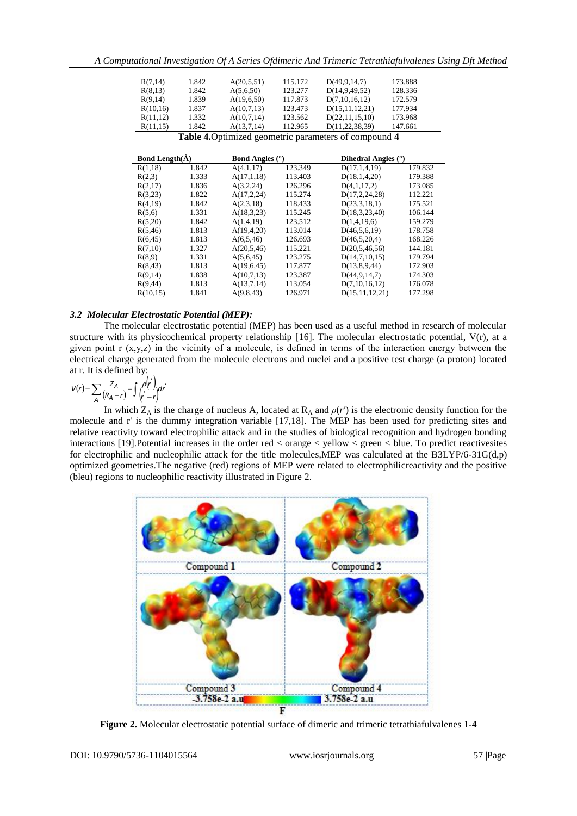| R(7,14)                                               | 1.842 | A(20,5,51) | 115.172 | D(49, 9, 14, 7)   | 173.888 |  |  |  |
|-------------------------------------------------------|-------|------------|---------|-------------------|---------|--|--|--|
| R(8,13)                                               | 1.842 | A(5,6,50)  | 123.277 | D(14, 9, 49, 52)  | 128.336 |  |  |  |
| R(9,14)                                               | 1.839 | A(19,6,50) | 117.873 | D(7,10,16,12)     | 172.579 |  |  |  |
| R(10,16)                                              | 1.837 | A(10,7,13) | 123.473 | D(15,11,12,21)    | 177.934 |  |  |  |
| R(11,12)                                              | 1.332 | A(10,7,14) | 123.562 | D(22, 11, 15, 10) | 173.968 |  |  |  |
| R(11,15)                                              | 1.842 | A(13,7,14) | 112.965 | D(11, 22, 38, 39) | 147.661 |  |  |  |
| Table 4. Optimized geometric parameters of compound 4 |       |            |         |                   |         |  |  |  |

**Bond Length(Å) Bond Angles (°) Dihedral Angles (°)** R(1,18) 1.842 A(4,1,17) 123.349 D(17,1,4,19) 179.832<br>R(2,3) 1.333 A(17,1,18) 113.403 D(18,1,4,20) 179.388 R(2,3) 1.333 A(17,1,18) 113.403 D(18,1,4,20) 179.388<br>R(2,17) 1.836 A(3,2,24) 126.296 D(4,1,17,2) 173.085  $D(4,1,17,2)$ R(3,23) 1.822 A(17,2,24) 115.274 D(17,2,24,28) 112.221 R(4,19) 1.842 A(2,3,18) 118.433 D(23,3,18,1) 175.521  $R(5,6)$  1.331  $A(18,3,23)$  115.245  $D(18,3,23,40)$  106.144<br> $R(5,20)$  1.842  $A(1,4,19)$  123.512  $D(1,4,19,6)$  159.279  $R(5,20)$  1.842  $A(1,4,19)$  123.512  $D(1,4,19,6)$  159.279 R(5,46) 1.813 A(19,4,20) 113.014 D(46,5,6,19) 178.758 R(6,45) 1.813 A(6,5,46) 126.693 D(46,5,20,4) 168.226<br>R(7,10) 1.327 A(20,5,46) 115.221 D(20,5,46,56) 144.181  $D(20,5,46,56)$ R(8,9) 1.331 A(5,6,45) 123.275 D(14,7,10,15) 179.794 R(8,43) 1.813 A(19,6,45) 117.877 D(13,8,9,44) 172.903  $R(9,14)$  1.838  $A(10,7,13)$  123.387  $D(44,9,14,7)$  174.303<br> $R(9,44)$  1.813  $A(13,7,14)$  113.054  $D(7,10,16,12)$  176.078 R(9,44) 1.813 A(13,7,14) 113.054 D(7,10,16,12) 176.078 R(10,15) 1.841 A(9,8,43) 126.971 D(15,11,12,21) 177.298

# *3.2 Molecular Electrostatic Potential (MEP):*

The molecular electrostatic potential (MEP) has been used as a useful method in research of molecular structure with its physicochemical property relationship [16]. The molecular electrostatic potential, V(r), at a given point  $r(x,y,z)$  in the vicinity of a molecule, is defined in terms of the interaction energy between the electrical charge generated from the molecule electrons and nuclei and a positive test charge (a proton) located at r. It is defined by:

$$
V(r) = \sum_{A} \frac{Z_A}{(R_A - r)} - \int \frac{\rho(r')}{(r' - r')} dr'
$$

In which  $Z_A$  is the charge of nucleus A, located at  $R_A$  and  $\rho(r')$  is the electronic density function for the molecule and r' is the dummy integration variable [17,18]. The MEP has been used for predicting sites and relative reactivity toward electrophilic attack and in the studies of biological recognition and hydrogen bonding interactions [19].Potential increases in the order red < orange < yellow < green < blue. To predict reactivesites for electrophilic and nucleophilic attack for the title molecules,MEP was calculated at the B3LYP/6-31G(d,p) optimized geometries.The negative (red) regions of MEP were related to electrophilicreactivity and the positive (bleu) regions to nucleophilic reactivity illustrated in Figure 2.



**Figure 2.** Molecular electrostatic potential surface of dimeric and trimeric tetrathiafulvalenes **1-4**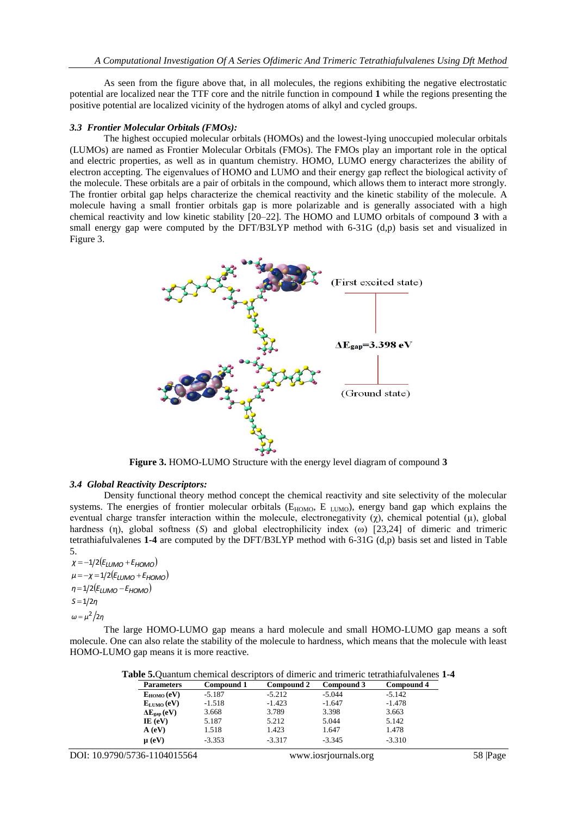As seen from the figure above that, in all molecules, the regions exhibiting the negative electrostatic potential are localized near the TTF core and the nitrile function in compound **1** while the regions presenting the positive potential are localized vicinity of the hydrogen atoms of alkyl and cycled groups.

## *3.3 Frontier Molecular Orbitals (FMOs):*

The highest occupied molecular orbitals (HOMOs) and the lowest-lying unoccupied molecular orbitals (LUMOs) are named as Frontier Molecular Orbitals (FMOs). The FMOs play an important role in the optical and electric properties, as well as in quantum chemistry. HOMO, LUMO energy characterizes the ability of electron accepting. The eigenvalues of HOMO and LUMO and their energy gap reflect the biological activity of the molecule. These orbitals are a pair of orbitals in the compound, which allows them to interact more strongly. The frontier orbital gap helps characterize the chemical reactivity and the kinetic stability of the molecule. A molecule having a small frontier orbitals gap is more polarizable and is generally associated with a high chemical reactivity and low kinetic stability [20–22]. The HOMO and LUMO orbitals of compound **3** with a small energy gap were computed by the DFT/B3LYP method with 6-31G (d,p) basis set and visualized in Figure 3.



**Figure 3.** HOMO-LUMO Structure with the energy level diagram of compound **3**

### *3.4 Global Reactivity Descriptors:*

Density functional theory method concept the chemical reactivity and site selectivity of the molecular systems. The energies of frontier molecular orbitals (E<sub>HOMO</sub>, E<sub>LUMO</sub>), energy band gap which explains the eventual charge transfer interaction within the molecule, electronegativity ( $\chi$ ), chemical potential ( $\mu$ ), global hardness (η), global softness (*S*) and global electrophilicity index (ω) [23,24] of dimeric and trimeric tetrathiafulvalenes **1-4** are computed by the DFT/B3LYP method with 6-31G (d,p) basis set and listed in Table 5.

 $\chi = -1/2$  (*E*<sub>LUMO</sub> + *E*<sub>HOMO</sub>)  $\mu = -\chi = 1/2 (E_{LUMO} + E_{HOMO})$ *n*=1/2 (*E*<sub>*LUMO</sub> – <i>E*<sub>*HOMO</sub>*)</sub></sub>  $S = 1/2n$  $ω = μ<sup>2</sup>/2η$ 

The large HOMO-LUMO gap means a hard molecule and small HOMO-LUMO gap means a soft molecule. One can also relate the stability of the molecule to hardness, which means that the molecule with least HOMO-LUMO gap means it is more reactive.

|  |  |  |  | Table 5. Quantum chemical descriptors of dimeric and trimeric tetrathiafulvalenes 1-4 |
|--|--|--|--|---------------------------------------------------------------------------------------|
|--|--|--|--|---------------------------------------------------------------------------------------|

| <b>Parameters</b>         | Compound 1 | Compound 2 | Compound 3 | Compound 4 |
|---------------------------|------------|------------|------------|------------|
| $E_{HOMO}(eV)$            | $-5.187$   | $-5.212$   | $-5.044$   | $-5.142$   |
| $E_{LUMO}(eV)$            | $-1.518$   | $-1.423$   | $-1.647$   | $-1.478$   |
| $\Delta E_{\rm gap}$ (eV) | 3.668      | 3.789      | 3.398      | 3.663      |
| IE $(eV)$                 | 5.187      | 5.212      | 5.044      | 5.142      |
| A (eV)                    | 1.518      | 1.423      | 1.647      | 1.478      |
| $\mu$ (eV)                | $-3.353$   | $-3.317$   | $-3.345$   | $-3.310$   |
|                           |            |            |            |            |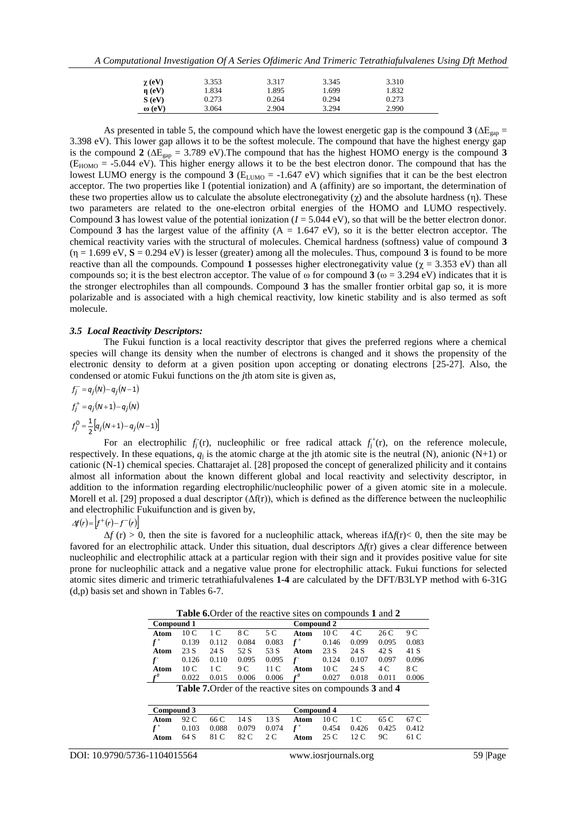| $\gamma$ (eV)     | 3.353 | 3.317 | 3.345 | 3.310 |
|-------------------|-------|-------|-------|-------|
| $\mathbf{n}$ (eV) | .834  | 1.895 | 1.699 | 1.832 |
| S(eV)             | 9.273 | 0.264 | 0.294 | 0.273 |
| $\omega$ (eV)     | 3.064 | 2.904 | 3.294 | 2.990 |

As presented in table 5, the compound which have the lowest energetic gap is the compound **3** ( $\Delta E_{\text{gan}}$  = 3.398 eV). This lower gap allows it to be the softest molecule. The compound that have the highest energy gap is the compound **2** ( $\Delta E_{\text{gap}} = 3.789 \text{ eV}$ ). The compound that has the highest HOMO energy is the compound **3**  $(E_{HOMO} = -5.044 \text{ eV})$ . This higher energy allows it to be the best electron donor. The compound that has the lowest LUMO energy is the compound  $3$  ( $E_{LUMO}$  = -1.647 eV) which signifies that it can be the best electron acceptor. The two properties like I (potential ionization) and A (affinity) are so important, the determination of these two properties allow us to calculate the absolute electronegativity ( $\gamma$ ) and the absolute hardness (η). These two parameters are related to the one-electron orbital energies of the HOMO and LUMO respectively. Compound **3** has lowest value of the potential ionization  $(I = 5.044 \text{ eV})$ , so that will be the better electron donor. Compound **3** has the largest value of the affinity  $(A = 1.647 \text{ eV})$ , so it is the better electron acceptor. The chemical reactivity varies with the structural of molecules. Chemical hardness (softness) value of compound **3**  $(\eta = 1.699 \text{ eV}, S = 0.294 \text{ eV})$  is lesser (greater) among all the molecules. Thus, compound **3** is found to be more reactive than all the compounds. Compound 1 possesses higher electronegativity value ( $\chi$  = 3.353 eV) than all compounds so; it is the best electron acceptor. The value of  $\omega$  for compound **3** ( $\omega$  = 3.294 eV) indicates that it is the stronger electrophiles than all compounds. Compound **3** has the smaller frontier orbital gap so, it is more polarizable and is associated with a high chemical reactivity, low kinetic stability and is also termed as soft molecule.

#### *3.5 Local Reactivity Descriptors:*

The Fukui function is a local reactivity descriptor that gives the preferred regions where a chemical species will change its density when the number of electrons is changed and it shows the propensity of the electronic density to deform at a given position upon accepting or donating electrons [25-27]. Also, the condensed or atomic Fukui functions on the *j*th atom site is given as,

$$
f_j^- = q_j(N) - q_j(N-1)
$$
  
\n
$$
f_j^+ = q_j(N+1) - q_j(N)
$$
  
\n
$$
f_j^0 = \frac{1}{2} [q_j(N+1) - q_j(N-1)]
$$

For an electrophilic  $f_j^{\dagger}(r)$ , nucleophilic or free radical attack  $f_j^{\dagger}(r)$ , on the reference molecule, respectively. In these equations,  $q_j$  is the atomic charge at the jth atomic site is the neutral (N), anionic (N+1) or cationic (N-1) chemical species. Chattarajet al. [28] proposed the concept of generalized philicity and it contains almost all information about the known different global and local reactivity and selectivity descriptor, in addition to the information regarding electrophilic/nucleophilic power of a given atomic site in a molecule. Morell et al. [29] proposed a dual descriptor  $(\Delta f(r))$ , which is defined as the difference between the nucleophilic and electrophilic Fukuifunction and is given by,

# $A f(r) = |f^+(r) - f^-(r)|$

 $\Delta f$  (r) > 0, then the site is favored for a nucleophilic attack, whereas if $\Delta f(r)$  < 0, then the site may be favored for an electrophilic attack. Under this situation, dual descriptors Δ*f*(r) gives a clear difference between nucleophilic and electrophilic attack at a particular region with their sign and it provides positive value for site prone for nucleophilic attack and a negative value prone for electrophilic attack. Fukui functions for selected atomic sites dimeric and trimeric tetrathiafulvalenes **1-4** are calculated by the DFT/B3LYP method with 6-31G (d,p) basis set and shown in Tables 6-7.

**Table 6.**Order of the reactive sites on compounds **1** and **2**

|                                                                  |                          |       |       |       | <b>Table 0.</b> Order of the reactive sites on compounds <b>T</b> and $\boldsymbol{\Sigma}$ |       |       |       |       |
|------------------------------------------------------------------|--------------------------|-------|-------|-------|---------------------------------------------------------------------------------------------|-------|-------|-------|-------|
|                                                                  | Compound 2<br>Compound 1 |       |       |       |                                                                                             |       |       |       |       |
| Atom                                                             | 10 <sub>C</sub>          | 1 C   | 8 C   | 5 C   | Atom                                                                                        | 10 C  | 4 C   | 26C   | 9 C   |
|                                                                  | 0.139                    | 0.112 | 0.084 | 0.083 | $f^+$                                                                                       | 0.146 | 0.099 | 0.095 | 0.083 |
| Atom                                                             | 23 S                     | 24 S  | 52 S  | 53 S  | Atom                                                                                        | 23 S  | 24 S  | 42 S  | 41 S  |
|                                                                  | 0.126                    | 0.110 | 0.095 | 0.095 |                                                                                             | 0.124 | 0.107 | 0.097 | 0.096 |
| Atom                                                             | 10 C                     | 1 C   | 9 C   | 11 C  | Atom                                                                                        | 10 C  | 24 S  | 4 C   | 8 C   |
| £θ                                                               | 0.022                    | 0.015 | 0.006 | 0.006 | $f^0$                                                                                       | 0.027 | 0.018 | 0.011 | 0.006 |
| <b>Table 7.</b> Order of the reactive sites on compounds 3 and 4 |                          |       |       |       |                                                                                             |       |       |       |       |
|                                                                  |                          |       |       |       |                                                                                             |       |       |       |       |
|                                                                  |                          |       |       |       |                                                                                             |       |       |       |       |

| Compound 3 | Compound 4 |  |  |                                                                |  |  |  |        |
|------------|------------|--|--|----------------------------------------------------------------|--|--|--|--------|
|            |            |  |  | <b>Atom</b> 92 C 66 C 14 S 13 S <b>Atom</b> 10 C 1 C 65 C 67 C |  |  |  |        |
|            |            |  |  | $f^+$ 0.103 0.088 0.079 0.074 $f^+$ 0.454 0.426 0.425 0.412    |  |  |  |        |
| Atom       |            |  |  | 64 S 81 C 82 C 2 C Atom 25 C 12 C 9 C                          |  |  |  | - 61 C |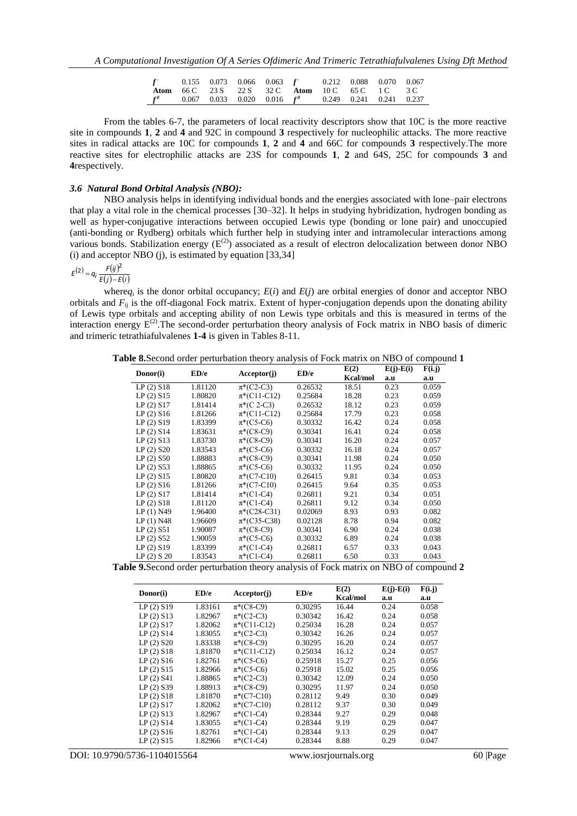| $f$ 0.155 0.073 0.066 0.063 f 0.212 0.088 0.070 0.067                     |  |  |                                                        |  |  |
|---------------------------------------------------------------------------|--|--|--------------------------------------------------------|--|--|
|                                                                           |  |  | <b>Atom</b> 66 C 23 S 22 S 32 C Atom 10 C 65 C 1 C 3 C |  |  |
| $f^{\theta}$ 0.067 0.033 0.020 0.016 $f^{\theta}$ 0.249 0.241 0.241 0.237 |  |  |                                                        |  |  |

From the tables 6-7, the parameters of local reactivity descriptors show that 10C is the more reactive site in compounds **1**, **2** and **4** and 92C in compound **3** respectively for nucleophilic attacks. The more reactive sites in radical attacks are 10C for compounds **1**, **2** and **4** and 66C for compounds **3** respectively.The more reactive sites for electrophilic attacks are 23S for compounds **1**, **2** and 64S, 25C for compounds **3** and **4**respectively.

### *3.6 Natural Bond Orbital Analysis (NBO):*

NBO analysis helps in identifying individual bonds and the energies associated with lone–pair electrons that play a vital role in the chemical processes [30–32]. It helps in studying hybridization, hydrogen bonding as well as hyper-conjugative interactions between occupied Lewis type (bonding or lone pair) and unoccupied (anti-bonding or Rydberg) orbitals which further help in studying inter and intramolecular interactions among various bonds. Stabilization energy  $(E^{(2)})$  associated as a result of electron delocalization between donor NBO (i) and acceptor NBO (j), is estimated by equation  $[33,34]$ 

### $f(z)$  =  $f(ij)$  $E^{(2)} = q_i \frac{F(ij)^2}{E(j) - E}$

 $E(j) - E(i)$ 

where $q_i$  is the donor orbital occupancy;  $E(i)$  and  $E(j)$  are orbital energies of donor and acceptor NBO orbitals and  $F_{ii}$  is the off-diagonal Fock matrix. Extent of hyper-conjugation depends upon the donating ability of Lewis type orbitals and accepting ability of non Lewis type orbitals and this is measured in terms of the interaction energy  $E^{(2)}$ . The second-order perturbation theory analysis of Fock matrix in NBO basis of dimeric and trimeric tetrathiafulvalenes **1-4** is given in Tables 8-11.

**Table 8.**Second order perturbation theory analysis of Fock matrix on NBO of compound **1**

| Donor(i)    | ED/e    | Acceptor(j)        | ED/e    | E(2)     | $E(j)-E(i)$ | F(i, j) |
|-------------|---------|--------------------|---------|----------|-------------|---------|
|             |         |                    |         | Kcal/mol | a.u         | a.u     |
| LP(2) S18   | 1.81120 | $\pi^*(C2-C3)$     | 0.26532 | 18.51    | 0.23        | 0.059   |
| LP(2) S15   | 1.80820 | $\pi^*(C11-C12)$   | 0.25684 | 18.28    | 0.23        | 0.059   |
| LP(2) S17   | 1.81414 | $\pi^*(C \; 2-C3)$ | 0.26532 | 18.12    | 0.23        | 0.059   |
| LP(2) S16   | 1.81266 | $\pi^*(C11-C12)$   | 0.25684 | 17.79    | 0.23        | 0.058   |
| LP(2) S19   | 1.83399 | $\pi^*(C5-C6)$     | 0.30332 | 16.42    | 0.24        | 0.058   |
| LP(2) S14   | 1.83631 | $\pi^*(C8-C9)$     | 0.30341 | 16.41    | 0.24        | 0.058   |
| LP(2) S13   | 1.83730 | $\pi^*(C8-C9)$     | 0.30341 | 16.20    | 0.24        | 0.057   |
| $LP(2)$ S20 | 1.83543 | $\pi^*(C5-C6)$     | 0.30332 | 16.18    | 0.24        | 0.057   |
| $LP(2)$ S50 | 1.88883 | $\pi^*(C8-C9)$     | 0.30341 | 11.98    | 0.24        | 0.050   |
| $LP(2)$ S53 | 1.88865 | $\pi^*(C5-C6)$     | 0.30332 | 11.95    | 0.24        | 0.050   |
| LP(2) S15   | 1.80820 | $\pi^*(C7-C10)$    | 0.26415 | 9.81     | 0.34        | 0.053   |
| LP(2) S16   | 1.81266 | $\pi^*(C7-C10)$    | 0.26415 | 9.64     | 0.35        | 0.053   |
| LP(2) S17   | 1.81414 | $\pi^*(C1-C4)$     | 0.26811 | 9.21     | 0.34        | 0.051   |
| LP(2) S18   | 1.81120 | $\pi^*(C1-C4)$     | 0.26811 | 9.12     | 0.34        | 0.050   |
| LP (1) N49  | 1.96400 | $\pi^*(C28-C31)$   | 0.02069 | 8.93     | 0.93        | 0.082   |
| LP(1) N48   | 1.96609 | $\pi*(C35-C38)$    | 0.02128 | 8.78     | 0.94        | 0.082   |
| LP(2) S51   | 1.90087 | $\pi^*(C8-C9)$     | 0.30341 | 6.90     | 0.24        | 0.038   |
| $LP(2)$ S52 | 1.90059 | $\pi^*(C5-C6)$     | 0.30332 | 6.89     | 0.24        | 0.038   |
| LP(2) S19   | 1.83399 | $\pi^*(C1-C4)$     | 0.26811 | 6.57     | 0.33        | 0.043   |
| LP(2) S 20  | 1.83543 | $\pi^*(C1-C4)$     | 0.26811 | 6.50     | 0.33        | 0.043   |

**Table 9.**Second order perturbation theory analysis of Fock matrix on NBO of compound **2**

| Donor(i)    | ED/e    | Acceptor(j)      | ED/e    | E(2)     | $E(j)-E(i)$ | F(i, j) |
|-------------|---------|------------------|---------|----------|-------------|---------|
|             |         |                  |         | Kcal/mol | a.u         | a.u     |
| LP(2) S19   | 1.83161 | $\pi^*(C8-C9)$   | 0.30295 | 16.44    | 0.24        | 0.058   |
| LP(2) S13   | 1.82967 | $\pi^*(C2-C3)$   | 0.30342 | 16.42    | 0.24        | 0.058   |
| LP(2) S17   | 1.82062 | $\pi^*(C11-C12)$ | 0.25034 | 16.28    | 0.24        | 0.057   |
| LP(2) S14   | 1.83055 | $\pi^*(C2-C3)$   | 0.30342 | 16.26    | 0.24        | 0.057   |
| $LP(2)$ S20 | 1.83338 | $\pi^*(C8-C9)$   | 0.30295 | 16.20    | 0.24        | 0.057   |
| LP(2) S18   | 1.81870 | $\pi^*(C11-C12)$ | 0.25034 | 16.12    | 0.24        | 0.057   |
| LP(2) S16   | 1.82761 | $\pi^*(C5-C6)$   | 0.25918 | 15.27    | 0.25        | 0.056   |
| LP(2) S15   | 1.82966 | $\pi^*(C5-C6)$   | 0.25918 | 15.02    | 0.25        | 0.056   |
| LP(2) S41   | 1.88865 | $\pi^*(C2-C3)$   | 0.30342 | 12.09    | 0.24        | 0.050   |
| $LP(2)$ S39 | 1.88913 | $\pi^*(C8-C9)$   | 0.30295 | 11.97    | 0.24        | 0.050   |
| LP(2) S18   | 1.81870 | $\pi^*(C7-C10)$  | 0.28112 | 9.49     | 0.30        | 0.049   |
| LP(2) S17   | 1.82062 | $\pi^*(C7-C10)$  | 0.28112 | 9.37     | 0.30        | 0.049   |
| LP(2) S13   | 1.82967 | $\pi^*(C1-C4)$   | 0.28344 | 9.27     | 0.29        | 0.048   |
| LP(2) S14   | 1.83055 | $\pi^*(C1-C4)$   | 0.28344 | 9.19     | 0.29        | 0.047   |
| LP(2) S16   | 1.82761 | $\pi^*(C1-C4)$   | 0.28344 | 9.13     | 0.29        | 0.047   |
| LP(2) S15   | 1.82966 | $\pi^*(C1-C4)$   | 0.28344 | 8.88     | 0.29        | 0.047   |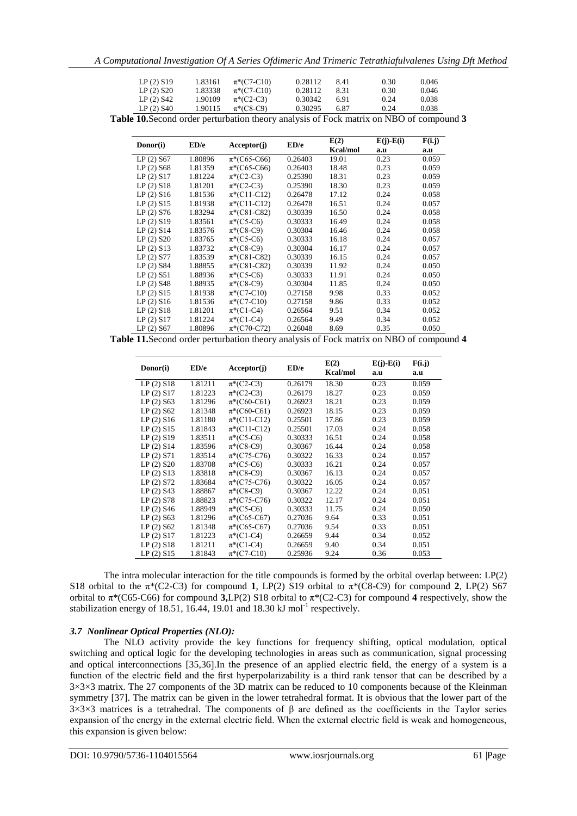| LP(2) S19               | 1.83161 | $\pi^*(C7-C10)$ | 0.28112 | 8.41 | 0.30 | 0.046 |
|-------------------------|---------|-----------------|---------|------|------|-------|
| $LP(2)$ S <sub>20</sub> | 1.83338 | $\pi^*(C7-C10)$ | 0.28112 | 8.31 | 0.30 | 0.046 |
| $LP(2)$ S42             | 1.90109 | $\pi^*(C2-C3)$  | 0.30342 | 6.91 | 0.24 | 0.038 |
| $LP(2)$ S <sub>40</sub> | 1.90115 | $\pi^*(C8-C9)$  | 0.30295 | 6.87 | 0.24 | 0.038 |

**Table 10.**Second order perturbation theory analysis of Fock matrix on NBO of compound **3**

| Donor(i)    | ED/e    | Acceptor(j)      | ED/e    | E(2)     | $E(j)-E(i)$ | F(i,j) |
|-------------|---------|------------------|---------|----------|-------------|--------|
|             |         |                  |         | Kcal/mol | a.u         | a.u    |
| $LP(2)$ S67 | 1.80896 | $\pi^*(C65-C66)$ | 0.26403 | 19.01    | 0.23        | 0.059  |
| $LP(2)$ S68 | 1.81359 | $\pi^*(C65-C66)$ | 0.26403 | 18.48    | 0.23        | 0.059  |
| LP(2) S17   | 1.81224 | $\pi^*(C2-C3)$   | 0.25390 | 18.31    | 0.23        | 0.059  |
| LP(2) S18   | 1.81201 | $\pi^*(C2-C3)$   | 0.25390 | 18.30    | 0.23        | 0.059  |
| LP(2) S16   | 1.81536 | $\pi^*(C11-C12)$ | 0.26478 | 17.12    | 0.24        | 0.058  |
| LP(2) S15   | 1.81938 | $\pi^*(C11-C12)$ | 0.26478 | 16.51    | 0.24        | 0.057  |
| LP(2) S76   | 1.83294 | $\pi^*(C81-C82)$ | 0.30339 | 16.50    | 0.24        | 0.058  |
| LP(2) S19   | 1.83561 | $\pi^*(C5-C6)$   | 0.30333 | 16.49    | 0.24        | 0.058  |
| LP(2) S14   | 1.83576 | $\pi^*(C8-C9)$   | 0.30304 | 16.46    | 0.24        | 0.058  |
| $LP(2)$ S20 | 1.83765 | $\pi^*(C5-C6)$   | 0.30333 | 16.18    | 0.24        | 0.057  |
| LP(2) S13   | 1.83732 | $\pi^*(C8-C9)$   | 0.30304 | 16.17    | 0.24        | 0.057  |
| $LP(2)$ S77 | 1.83539 | $\pi^*(C81-C82)$ | 0.30339 | 16.15    | 0.24        | 0.057  |
| $LP(2)$ S84 | 1.88855 | $\pi^*(C81-C82)$ | 0.30339 | 11.92    | 0.24        | 0.050  |
| LP(2) S51   | 1.88936 | $\pi^*(C5-C6)$   | 0.30333 | 11.91    | 0.24        | 0.050  |
| $LP(2)$ S48 | 1.88935 | $\pi^*(C8-C9)$   | 0.30304 | 11.85    | 0.24        | 0.050  |
| LP(2) S15   | 1.81938 | $\pi^*(C7-C10)$  | 0.27158 | 9.98     | 0.33        | 0.052  |
| LP(2) S16   | 1.81536 | $\pi^*(C7-C10)$  | 0.27158 | 9.86     | 0.33        | 0.052  |
| LP(2) S18   | 1.81201 | $\pi^*(C1-C4)$   | 0.26564 | 9.51     | 0.34        | 0.052  |
| LP(2) S17   | 1.81224 | $\pi^*(C1-C4)$   | 0.26564 | 9.49     | 0.34        | 0.052  |
| $LP(2)$ S67 | 1.80896 | $\pi^*(C70-C72)$ | 0.26048 | 8.69     | 0.35        | 0.050  |

**Table 11.**Second order perturbation theory analysis of Fock matrix on NBO of compound **4**

| Donor(i)                | ED/e    | Acceptor(i)      | ED/e    | E(2)<br>Kcal/mol | $E(j)-E(i)$<br>a.u | F(i,j)<br>a.u |
|-------------------------|---------|------------------|---------|------------------|--------------------|---------------|
| LP(2) S18               | 1.81211 | $\pi^*(C2-C3)$   | 0.26179 | 18.30            | 0.23               | 0.059         |
| LP(2) S17               | 1.81223 | $\pi^*(C2-C3)$   | 0.26179 | 18.27            | 0.23               | 0.059         |
| $LP(2)$ S63             | 1.81296 | $\pi^*(C60-C61)$ | 0.26923 | 18.21            | 0.23               | 0.059         |
| $LP(2)$ S62             | 1.81348 | $\pi^*(C60-C61)$ | 0.26923 | 18.15            | 0.23               | 0.059         |
| LP(2) S16               | 1.81180 | $\pi^*(C11-C12)$ | 0.25501 | 17.86            | 0.23               | 0.059         |
| LP(2) S15               | 1.81843 | $\pi^*(C11-C12)$ | 0.25501 | 17.03            | 0.24               | 0.058         |
| LP(2) S19               | 1.83511 | $\pi^*(C5-C6)$   | 0.30333 | 16.51            | 0.24               | 0.058         |
| LP(2) S14               | 1.83596 | $\pi^*(C8-C9)$   | 0.30367 | 16.44            | 0.24               | 0.058         |
| LP(2) S71               | 1.83514 | $\pi^*(C75-C76)$ | 0.30322 | 16.33            | 0.24               | 0.057         |
| $LP(2)$ S <sub>20</sub> | 1.83708 | $\pi^*(C5-C6)$   | 0.30333 | 16.21            | 0.24               | 0.057         |
| LP(2) S13               | 1.83818 | $\pi^*(C8-C9)$   | 0.30367 | 16.13            | 0.24               | 0.057         |
| $LP(2)$ S72             | 1.83684 | $\pi^*(C75-C76)$ | 0.30322 | 16.05            | 0.24               | 0.057         |
| $LP(2)$ S43             | 1.88867 | $\pi^*(C8-C9)$   | 0.30367 | 12.22            | 0.24               | 0.051         |
| $LP(2)$ S78             | 1.88823 | $\pi^*(C75-C76)$ | 0.30322 | 12.17            | 0.24               | 0.051         |
| $LP(2)$ S46             | 1.88949 | $\pi^*(C5-C6)$   | 0.30333 | 11.75            | 0.24               | 0.050         |
| $LP(2)$ S63             | 1.81296 | $\pi*(C65-C67)$  | 0.27036 | 9.64             | 0.33               | 0.051         |
| $LP(2)$ S62             | 1.81348 | $\pi^*(C65-C67)$ | 0.27036 | 9.54             | 0.33               | 0.051         |
| LP(2) S17               | 1.81223 | $\pi^*(C1-C4)$   | 0.26659 | 9.44             | 0.34               | 0.052         |
| LP(2) S18               | 1.81211 | $\pi^*(C1-C4)$   | 0.26659 | 9.40             | 0.34               | 0.051         |
| LP(2) S15               | 1.81843 | $\pi^*(C7-C10)$  | 0.25936 | 9.24             | 0.36               | 0.053         |

The intra molecular interaction for the title compounds is formed by the orbital overlap between: LP(2) S18 orbital to the  $\pi^*(C2-C3)$  for compound **1**, LP(2) S19 orbital to  $\pi^*(C8-C9)$  for compound **2**, LP(2) S67 orbital to π\*(C65-C66) for compound **3,**LP(2) S18 orbital to π\*(C2-C3) for compound **4** respectively, show the stabilization energy of 18.51, 16.44, 19.01 and 18.30  $kJ$  mol<sup>-1</sup> respectively.

# *3.7 Nonlinear Optical Properties (NLO):*

The NLO activity provide the key functions for frequency shifting, optical modulation, optical switching and optical logic for the developing technologies in areas such as communication, signal processing and optical interconnections [35,36].In the presence of an applied electric field, the energy of a system is a function of the electric field and the first hyperpolarizability is a third rank tensor that can be described by a  $3\times3\times3$  matrix. The 27 components of the 3D matrix can be reduced to 10 components because of the Kleinman symmetry [37]. The matrix can be given in the lower tetrahedral format. It is obvious that the lower part of the  $3\times3\times3$  matrices is a tetrahedral. The components of  $\beta$  are defined as the coefficients in the Taylor series expansion of the energy in the external electric field. When the external electric field is weak and homogeneous, this expansion is given below: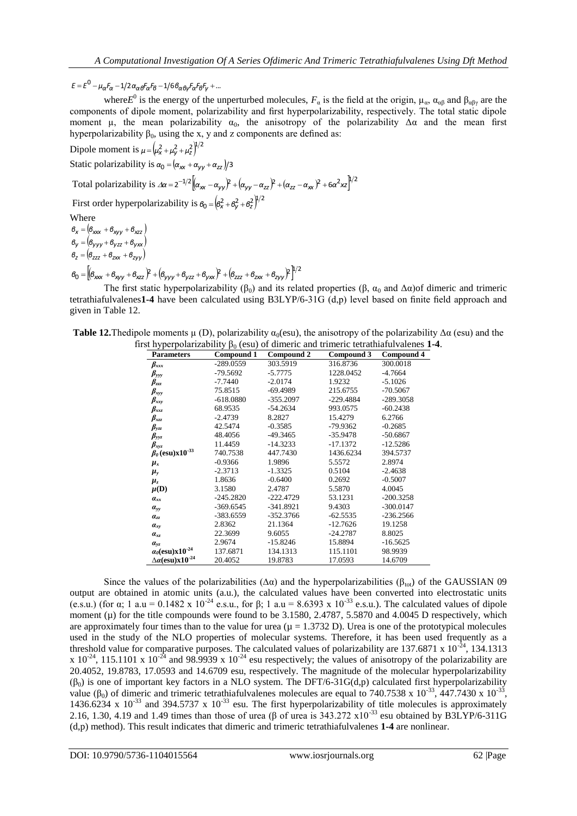$E = E^{0} - \mu_{\alpha} F_{\alpha} - 1/2 \alpha_{\alpha} \theta^{F} \alpha^{F} \theta - 1/6 \theta_{\alpha} \theta \gamma^{F} \alpha^{F} \theta^{F} \gamma + ...$ 

where *E*<sup>0</sup> is the energy of the unperturbed molecules,  $F_\alpha$  is the field at the origin,  $\mu_\alpha$ ,  $\alpha_{\alpha\beta}$  and  $\beta_{\alpha\beta\gamma}$  are the components of dipole moment, polarizability and first hyperpolarizability, respectively. The total static dipole moment  $\mu$ , the mean polarizability  $\alpha_0$ , the anisotropy of the polarizability  $\Delta \alpha$  and the mean first hyperpolarizability  $\beta_0$ , using the x, y and z components are defined as:

Dipole moment is  $\mu = (\mu_x^2 + \mu_y^2 + \mu_z^2)^{1/2}$ Static polarizability is  $\alpha_0 = (\alpha_{xx} + \alpha_{yy} + \alpha_{zz})/3$ Total polarizability is  $\Delta \alpha = 2^{-1/2} \left[ (\alpha_{xx} - \alpha_{yy})^2 + (\alpha_{yy} - \alpha_{zz})^2 + (\alpha_{zz} - \alpha_{xx})^2 + 6\alpha^2 x^2 \right]^{1/2}$ First order hyperpolarizability is  $\theta_0 = \left(\theta_x^2 + \theta_y^2 + \theta_z^2\right)^{1/2}$ Where  $\theta_x = (\theta_{xxxx} + \theta_{xyy} + \theta_{xzz})$ 

 $(\theta_{VVV} + \theta_{VZZ} + \theta_{VXX})$  $Z = (\theta_{ZZZ} + \theta_{ZXX} + \theta_{ZYY})$ *y yyy yzz yxx*  $\beta$ <sub>*Z*</sub> =  $(\beta$ <sub>ZZZ</sub> +  $\beta$ <sub>ZXX</sub> +  $\beta$  $\beta$ <sub>*V*</sub> =  $(\beta$ <sub>*VVV</sub>* +  $\beta$ <sub>VZZ</sub> +  $\beta$ </sub>  $= (\theta_{777} + \theta_{788} +$  $=$   $(\theta_{VVV} + \theta_{VZZ} +$ 

 $\beta_0 = \left[\left(\beta_{\text{xxx}} + \beta_{\text{xyy}} + \beta_{\text{xzz}}\right)^2 + \left(\beta_{\text{yyy}} + \beta_{\text{yzz}} + \beta_{\text{yxx}}\right)^2 + \left(\beta_{\text{zzz}} + \beta_{\text{zxx}} + \beta_{\text{zyy}}\right)^2\right]^{1/2}$ 

The first static hyperpolarizability ( $\beta_0$ ) and its related properties ( $\beta$ ,  $\alpha_0$  and  $\Delta \alpha$ )of dimeric and trimeric tetrathiafulvalenes**1-4** have been calculated using B3LYP/6-31G (d,p) level based on finite field approach and given in Table 12.

| <b>Table 12.</b> The dipole moments $\mu$ (D), polarizability $\alpha_0$ (esu), the anisotropy of the polarizability $\Delta \alpha$ (esu) and the |
|----------------------------------------------------------------------------------------------------------------------------------------------------|
| first hyperpolarizability $\beta_0$ (esu) of dimeric and trimeric tetrathiafulvalenes 1-4.                                                         |

| <b>Parameters</b>                       | Compound 1  | Compound 2  | Compound 3  | Compound 4  |
|-----------------------------------------|-------------|-------------|-------------|-------------|
| $\beta_{xxx}$                           | -289.0559   | 303.5919    | 316.8736    | 300.0018    |
| $\beta_{\rm yy}$                        | -79.5692    | $-5.7775$   | 1228.0452   | $-4.7664$   |
| $\beta_{zzz}$                           | $-7.7440$   | $-2.0174$   | 1.9232      | $-5.1026$   |
| $\beta_{xyy}$                           | 75.8515     | $-69.4989$  | 215.6755    | $-70.5067$  |
| $\beta_{xxy}$                           | $-618.0880$ | $-355.2097$ | $-229.4884$ | $-289.3058$ |
| $\beta_{xxz}$                           | 68.9535     | $-54.2634$  | 993.0575    | $-60.2438$  |
| $\beta_{xzz}$                           | $-2.4739$   | 8.2827      | 15.4279     | 6.2766      |
| $\beta_{yzz}$                           | 42.5474     | $-0.3585$   | $-79.9362$  | $-0.2685$   |
| $\beta_{\rm yyz}$                       | 48.4056     | $-49.3465$  | $-35.9478$  | $-50.6867$  |
| $\beta_{xyz}$                           | 11.4459     | $-14.3233$  | $-17.1372$  | $-12.5286$  |
| $\beta_0$ (esu)x10 <sup>-33</sup>       | 740.7538    | 447.7430    | 1436.6234   | 394.5737    |
| $\mu_{x}$                               | $-0.9366$   | 1.9896      | 5.5572      | 2.8974      |
| $\mu_{y}$                               | $-2.3713$   | $-1.3325$   | 0.5104      | $-2.4638$   |
| $\mu_z$                                 | 1.8636      | $-0.6400$   | 0.2692      | $-0.5007$   |
| $\mu(D)$                                | 3.1580      | 2.4787      | 5.5870      | 4.0045      |
| $a_{xx}$                                | $-245.2820$ | $-222.4729$ | 53.1231     | $-200.3258$ |
| $a_{yy}$                                | $-369.6545$ | $-341.8921$ | 9.4303      | $-300.0147$ |
| $a_{zz}$                                | -383.6559   | $-352.3766$ | $-62.5535$  | $-236.2566$ |
| $a_{xy}$                                | 2.8362      | 21.1364     | $-12.7626$  | 19.1258     |
| $a_{xz}$                                | 22.3699     | 9.6055      | $-24.2787$  | 8.8025      |
| $a_{yz}$                                | 2.9674      | $-15.8246$  | 15.8894     | $-16.5625$  |
| $\alpha_0$ (esu)x10 <sup>-24</sup>      | 137.6871    | 134.1313    | 115.1101    | 98.9939     |
| $\Delta \alpha$ (esu)x10 <sup>-24</sup> | 20.4052     | 19.8783     | 17.0593     | 14.6709     |

Since the values of the polarizabilities ( $\Delta \alpha$ ) and the hyperpolarizabilities ( $\beta_{tot}$ ) of the GAUSSIAN 09 output are obtained in atomic units (a.u.), the calculated values have been converted into electrostatic units (e.s.u.) (for α; 1 a.u = 0.1482 x 10<sup>-24</sup> e.s.u., for β; 1 a.u = 8.6393 x 10<sup>-33</sup> e.s.u.). The calculated values of dipole moment ( $\mu$ ) for the title compounds were found to be 3.1580, 2.4787, 5.5870 and 4.0045 D respectively, which are approximately four times than to the value for urea ( $\mu = 1.3732$  D). Urea is one of the prototypical molecules used in the study of the NLO properties of molecular systems. Therefore, it has been used frequently as a threshold value for comparative purposes. The calculated values of polarizability are 137.6871 x  $10^{-24}$ , 134.1313 x  $10^{-24}$ , 115.1101 x  $10^{-24}$  and 98.9939 x  $10^{-24}$  esu respectively; the values of anisotropy of the polarizability are 20.4052, 19.8783, 17.0593 and 14.6709 esu, respectively. The magnitude of the molecular hyperpolarizability  $(\beta_0)$  is one of important key factors in a NLO system. The DFT/6-31G(d,p) calculated first hyperpolarizability value (β<sub>0</sub>) of dimeric and trimeric tetrathiafulvalenes molecules are equal to 740.7538 x 10<sup>-33</sup>, 447.7430 x 10<sup>-33</sup>, 1436.6234 x  $10^{-33}$  and 394.5737 x  $10^{-33}$  esu. The first hyperpolarizability of title molecules is approximately 2.16, 1.30, 4.19 and 1.49 times than those of urea ( $\beta$  of urea is 343.272 x10<sup>-33</sup> esu obtained by B3LYP/6-311G (d,p) method). This result indicates that dimeric and trimeric tetrathiafulvalenes **1-4** are nonlinear.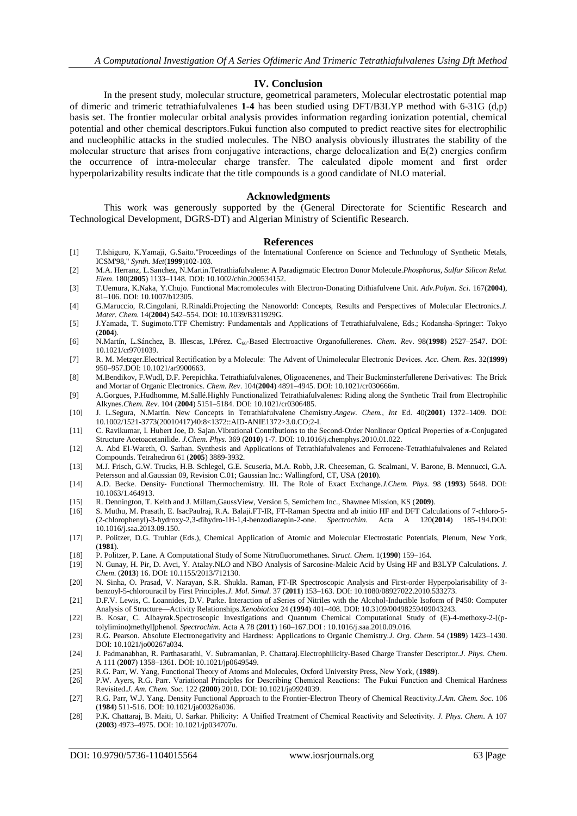# **IV. Conclusion**

In the present study, molecular structure, geometrical parameters, Molecular electrostatic potential map of dimeric and trimeric tetrathiafulvalenes **1-4** has been studied using DFT/B3LYP method with 6-31G (d,p) basis set. The frontier molecular orbital analysis provides information regarding ionization potential, chemical potential and other chemical descriptors.Fukui function also computed to predict reactive sites for electrophilic and nucleophilic attacks in the studied molecules. The NBO analysis obviously illustrates the stability of the molecular structure that arises from conjugative interactions, charge delocalization and E(2) energies confirm the occurrence of intra-molecular charge transfer. The calculated dipole moment and first order hyperpolarizability results indicate that the title compounds is a good candidate of NLO material.

### **Acknowledgments**

This work was generously supported by the (General Directorate for Scientific Research and Technological Development, DGRS-DT) and Algerian Ministry of Scientific Research.

#### **References**

- [1] T.Ishiguro, K.Yamaji, G.Saito."Proceedings of the International Conference on Science and Technology of Synthetic Metals, ICSM'98," *Synth. Met*(**1999**)102-103.
- [2] M.A. Herranz, L.Sanchez, N.Martin.Tetrathiafulvalene: A Paradigmatic Electron Donor Molecule.*Phosphorus, Sulfur Silicon Relat. Elem*. 180(**2005**) 1133–1148. DOI: 10.1002/chin.200534152.
- [3] T.Uemura, K.Naka, Y.Chujo. Functional Macromolecules with Electron-Donating Dithiafulvene Unit. *Adv.Polym. Sci*. 167(**2004**), 81–106. DOI: 10.1007/b12305.
- [4] G.Maruccio, R.Cingolani, R.Rinaldi.Projecting the Nanoworld: Concepts, Results and Perspectives of Molecular Electronics.*J. Mater. Chem*. 14(**2004**) 542–554. DOI: 10.1039/B311929G.
- [5] J.Yamada, T. Sugimoto.TTF Chemistry: Fundamentals and Applications of Tetrathiafulvalene, Eds.; Kodansha-Springer: Tokyo (**2004**).
- [6] N.Martín, L.Sánchez, B. Illescas, I.Pérez. C60-Based Electroactive Organofullerenes. *Chem. Rev*. 98(**1998**) 2527–2547. DOI: 10.1021/cr9701039.
- [7] R. M. Metzger.Electrical Rectification by a Molecule:  The Advent of Unimolecular Electronic Devices. *Acc. Chem. Res*. 32(**1999**) 950–957.DOI: 10.1021/ar9900663.
- [8] M.Bendikov, F.Wudl, D.F. Perepichka. Tetrathiafulvalenes, Oligoacenenes, and Their Buckminsterfullerene Derivatives:  The Brick and Mortar of Organic Electronics. *Chem. Rev*. 104(**2004**) 4891–4945. DOI: 10.1021/cr030666m.
- [9] A.Gorgues, P.Hudhomme, M.Sallé.Highly Functionalized Tetrathiafulvalenes: Riding along the Synthetic Trail from Electrophilic Alkynes.*Chem. Rev*. 104 (**2004**) 5151–5184. DOI: 10.1021/cr0306485.
- [10] J. L.Segura, N.Martín. New Concepts in Tetrathiafulvalene Chemistry.*Angew. Chem., Int* Ed. 40(**2001**) 1372–1409. DOI: 10.1002/1521-3773(20010417)40:8<1372::AID-ANIE1372>3.0.CO;2-I.
- [11] C. Ravikumar, I. Hubert Joe, D. Sajan.Vibrational Contributions to the Second-Order Nonlinear Optical Properties of π-Conjugated Structure Acetoacetanilide. *J.Chem. Phys*. 369 (**2010**) 1-7. DOI: 10.1016/j.chemphys.2010.01.022.
- [12] A. Abd El-Wareth, O. Sarhan. Synthesis and Applications of Tetrathiafulvalenes and Ferrocene-Tetrathiafulvalenes and Related Compounds. Tetrahedron 61 (**2005**) 3889-3932.
- [13] M.J. Frisch, G.W. Trucks, H.B. Schlegel, G.E. Scuseria, M.A. Robb, J.R. Cheeseman, G. Scalmani, V. Barone, B. Mennucci, G.A. Petersson and al.Gaussian 09, Revision C.01; Gaussian Inc.: Wallingford, CT, USA (**2010**).
- [14] A.D. Becke. Density‐ Functional Thermochemistry. III. The Role of Exact Exchange.*J.Chem. Phys*. 98 (**1993**) 5648. DOI: 10.1063/1.464913.
- [15] R. Dennington, T. Keith and J. Millam,GaussView, Version 5, Semichem Inc., Shawnee Mission, KS (**2009**).
- [16] S. Muthu, M. Prasath, E. IsacPaulraj, R.A. Balaji.FT-IR, FT-Raman Spectra and ab initio HF and DFT Calculations of 7-chloro-5- (2-chlorophenyl)-3-hydroxy-2,3-dihydro-1H-1,4-benzodiazepin-2-one. *Spectrochim*. Acta A 120(**2014**) 185-194.DOI: 10.1016/j.saa.2013.09.150.
- [17] P. Politzer, D.G. Truhlar (Eds.), Chemical Application of Atomic and Molecular Electrostatic Potentials, Plenum, New York, (**1981**).
- [18] P. Politzer, P. Lane. A Computational Study of Some Nitrofluoromethanes. *Struct. Chem*. 1(**1990**) 159–164.
- [19] N. Gunay, H. Pir, D. Avci, Y. Atalay.NLO and NBO Analysis of Sarcosine-Maleic Acid by Using HF and B3LYP Calculations. *J. Chem*. (**2013**) 16. DOI: 10.1155/2013/712130.
- [20] N. Sinha, O. Prasad, V. Narayan, S.R. Shukla. Raman, FT-IR Spectroscopic Analysis and First-order Hyperpolarisability of 3 benzoyl-5-chlorouracil by First Principles.*J. Mol. Simul*. 37 (**2011**) 153–163. DOI: 10.1080/08927022.2010.533273.
- [21] D.F.V. Lewis, C. Loannides, D.V. Parke. Interaction of aSeries of Nitriles with the Alcohol-Inducible Isoform of P450: Computer Analysis of Structure—Activity Relationships.*Xenobiotica* 24 (**1994**) 401–408. DOI: 10.3109/00498259409043243.
- [22] B. Kosar, C. Albayrak.Spectroscopic Investigations and Quantum Chemical Computational Study of (E)-4-methoxy-2-[(ptolylimino)methyl]phenol. *Spectrochim.* Acta A 78 (**2011**) 160–167.DOI : 10.1016/j.saa.2010.09.016.
- [23] R.G. Pearson. Absolute Electronegativity and Hardness: Applications to Organic Chemistry.*J. Org. Chem*. 54 (**1989**) 1423–1430. DOI: 10.1021/jo00267a034.
- [24] J. Padmanabhan, R. Parthasarathi, V. Subramanian, P. Chattaraj.Electrophilicity-Based Charge Transfer Descriptor.*J. Phys. Chem*. A 111 (**2007**) 1358–1361. DOI: 10.1021/jp0649549.
- [25] R.G. Parr, W. Yang, Functional Theory of Atoms and Molecules, Oxford University Press, New York, (**1989**).
- [26] P.W. Ayers, R.G. Parr. Variational Principles for Describing Chemical Reactions:  The Fukui Function and Chemical Hardness Revisited.*J. Am. Chem. Soc*. 122 (**2000**) 2010. DOI: 10.1021/ja9924039.
- [27] R.G. Parr, W.J. Yang. Density Functional Approach to the Frontier-Electron Theory of Chemical Reactivity.*J.Am. Chem. Soc*. 106 (**1984**) 511-516. DOI: 10.1021/ja00326a036.
- [28] P.K. Chattaraj, B. Maiti, U. Sarkar. Philicity:  A Unified Treatment of Chemical Reactivity and Selectivity. *J. Phys. Chem*. A 107 (**2003**) 4973–4975. DOI: 10.1021/jp034707u.